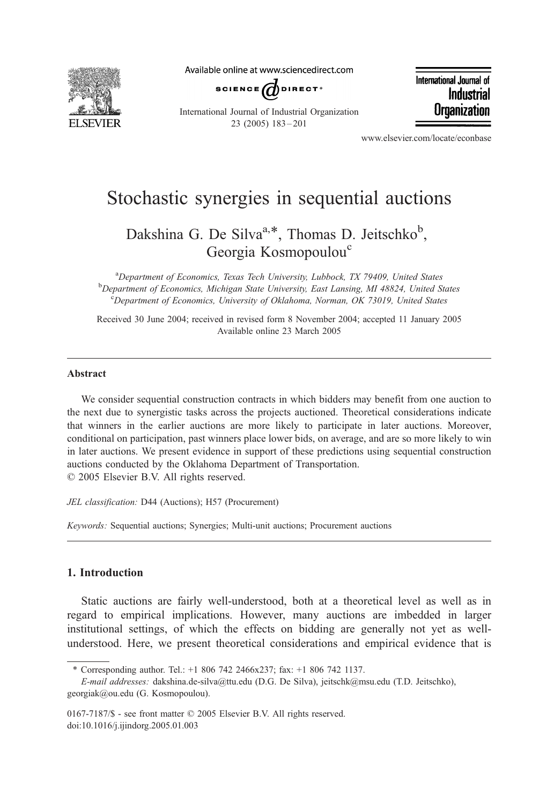

Available online at www.sciencedirect.com



International Journal of Industrial **Organization** 

International Journal of Industrial Organization 23 (2005) 183 – 201

www.elsevier.com/locate/econbase

## Stochastic synergies in sequential auctions

Dakshina G. De Silva<sup>a,\*</sup>, Thomas D. Jeitschko<sup>b</sup>, Georgia Kosmopoulou<sup>c</sup>

<sup>a</sup>Department of Economics, Texas Tech University, Lubbock, TX 79409, United States b Department of Economics, Michigan State University, East Lansing, MI 48824, United States<br>Concertment of Economics, University of Oklahoma, Norman, OK 73010, United States Department of Economics, University of Oklahoma, Norman, OK 73019, United States

Received 30 June 2004; received in revised form 8 November 2004; accepted 11 January 2005 Available online 23 March 2005

## Abstract

We consider sequential construction contracts in which bidders may benefit from one auction to the next due to synergistic tasks across the projects auctioned. Theoretical considerations indicate that winners in the earlier auctions are more likely to participate in later auctions. Moreover, conditional on participation, past winners place lower bids, on average, and are so more likely to win in later auctions. We present evidence in support of these predictions using sequential construction auctions conducted by the Oklahoma Department of Transportation.  $© 2005 Elsevier B.V. All rights reserved.$ 

JEL classification: D44 (Auctions); H57 (Procurement)

Keywords: Sequential auctions; Synergies; Multi-unit auctions; Procurement auctions

## 1. Introduction

Static auctions are fairly well-understood, both at a theoretical level as well as in regard to empirical implications. However, many auctions are imbedded in larger institutional settings, of which the effects on bidding are generally not yet as wellunderstood. Here, we present theoretical considerations and empirical evidence that is

<sup>\*</sup> Corresponding author. Tel.:  $+18067422466x237$ ; fax:  $+18067421137$ .

E-mail addresses: dakshina.de-silva@ttu.edu (D.G. De Silva), jeitschk@msu.edu (T.D. Jeitschko), georgiak@ou.edu (G. Kosmopoulou).

<sup>0167-7187/\$ -</sup> see front matter  $\odot$  2005 Elsevier B.V. All rights reserved. doi:10.1016/j.ijindorg.2005.01.003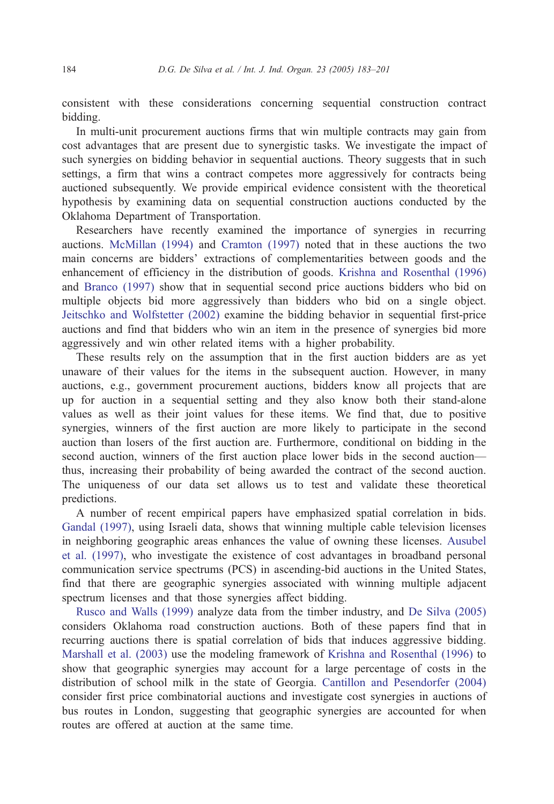consistent with these considerations concerning sequential construction contract bidding.

In multi-unit procurement auctions firms that win multiple contracts may gain from cost advantages that are present due to synergistic tasks. We investigate the impact of such synergies on bidding behavior in sequential auctions. Theory suggests that in such settings, a firm that wins a contract competes more aggressively for contracts being auctioned subsequently. We provide empirical evidence consistent with the theoretical hypothesis by examining data on sequential construction auctions conducted by the Oklahoma Department of Transportation.

Researchers have recently examined the importance of synergies in recurring auctions. [McMillan \(1994\)](#page--1-0) and [Cramton \(1997\)](#page--1-0) noted that in these auctions the two main concerns are bidders' extractions of complementarities between goods and the enhancement of efficiency in the distribution of goods. [Krishna and Rosenthal \(1996\)](#page--1-0) and [Branco \(1997\)](#page--1-0) show that in sequential second price auctions bidders who bid on multiple objects bid more aggressively than bidders who bid on a single object. [Jeitschko and Wolfstetter \(2002\)](#page--1-0) examine the bidding behavior in sequential first-price auctions and find that bidders who win an item in the presence of synergies bid more aggressively and win other related items with a higher probability.

These results rely on the assumption that in the first auction bidders are as yet unaware of their values for the items in the subsequent auction. However, in many auctions, e.g., government procurement auctions, bidders know all projects that are up for auction in a sequential setting and they also know both their stand-alone values as well as their joint values for these items. We find that, due to positive synergies, winners of the first auction are more likely to participate in the second auction than losers of the first auction are. Furthermore, conditional on bidding in the second auction, winners of the first auction place lower bids in the second auction thus, increasing their probability of being awarded the contract of the second auction. The uniqueness of our data set allows us to test and validate these theoretical predictions.

A number of recent empirical papers have emphasized spatial correlation in bids. [Gandal \(1997\),](#page--1-0) using Israeli data, shows that winning multiple cable television licenses in neighboring geographic areas enhances the value of owning these licenses. [Ausubel](#page--1-0) et al. (1997), who investigate the existence of cost advantages in broadband personal communication service spectrums (PCS) in ascending-bid auctions in the United States, find that there are geographic synergies associated with winning multiple adjacent spectrum licenses and that those synergies affect bidding.

[Rusco and Walls \(1999\)](#page--1-0) analyze data from the timber industry, and [De Silva \(2005\)](#page--1-0) considers Oklahoma road construction auctions. Both of these papers find that in recurring auctions there is spatial correlation of bids that induces aggressive bidding. [Marshall et al. \(2003\)](#page--1-0) use the modeling framework of [Krishna and Rosenthal \(1996\)](#page--1-0) to show that geographic synergies may account for a large percentage of costs in the distribution of school milk in the state of Georgia. [Cantillon and Pesendorfer \(2004\)](#page--1-0) consider first price combinatorial auctions and investigate cost synergies in auctions of bus routes in London, suggesting that geographic synergies are accounted for when routes are offered at auction at the same time.